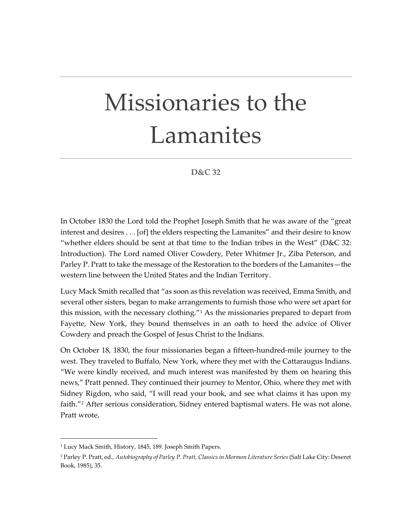## Missionaries to the Lamanites

## **D&C 32**

In October 1830 the Lord told the Prophet Joseph Smith that he was aware of the "great interest and desires . . . [of] the elders respecting the Lamanites" and their desire to know "whether elders should be sent at that time to the Indian tribes in the West" (D&C 32: Introduction). The Lord named Oliver Cowdery, Peter Whitmer Jr., Ziba Peterson, and Parley P. Pratt to take the message of the Restoration to the borders of the Lamanites—the western line between the United States and the Indian Territory.

Lucy Mack Smith recalled that "as soon as this revelation was received, Emma Smith, and several other sisters, began to make arrangements to furnish those who were set apart for this mission, with the necessary clothing. $11$  As the missionaries prepared to depart from Fayette, New York, they bound themselves in an oath to heed the advice of Oliver Cowdery and preach the Gospel of Jesus Christ to the Indians.

On October 18, 1830, the four missionaries began a fifteen-hundred-mile journey to the west. They traveled to Buffalo, New York, where they met with the Cattaraugus Indians. "We were kindly received, and much interest was manifested by them on hearing this news," Pratt penned. They continued their journey to Mentor, Ohio, where they met with Sidney Rigdon, who said, "I will read your book, and see what claims it has upon my faith."<sup>[2](#page-0-1)</sup> After serious consideration, Sidney entered baptismal waters. He was not alone. Pratt wrote,

<span id="page-0-0"></span><sup>&</sup>lt;sup>1</sup> Lucy Mack Smith, History, 1845, 189. Joseph Smith Papers.

<span id="page-0-1"></span><sup>2</sup> Parley P. Pratt, ed., *Autobiography of Parley P. Pratt, Classics in Mormon Literature Series* (Salt Lake City: Deseret Book, 1985), 35.